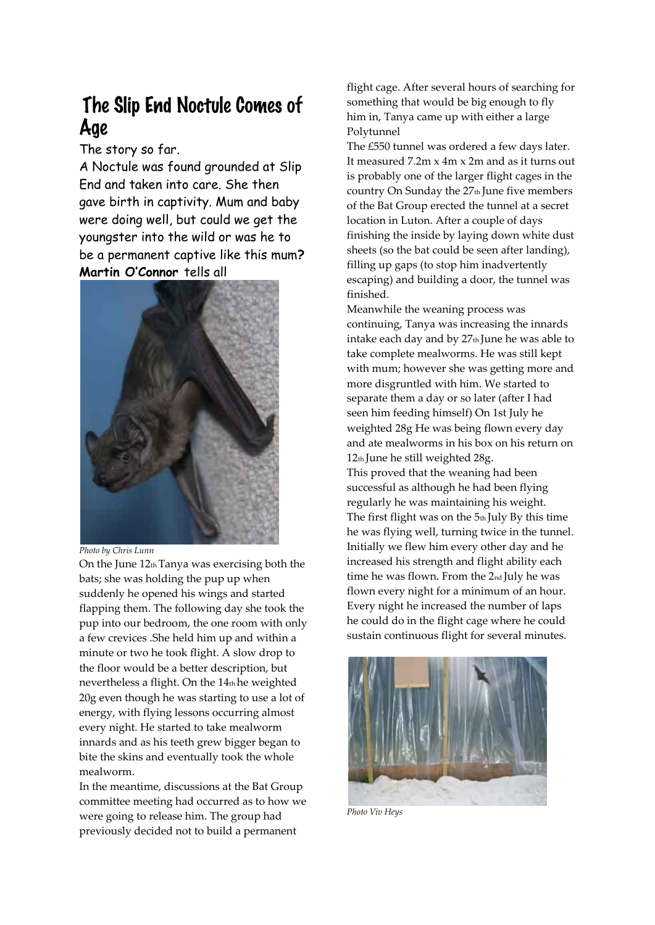## The Slip End Noctule Comes of Age

The story so far.

A Noctule was found grounded at Slip End and taken into care. She then gave birth in captivity. Mum and baby were doing well, but could we get the youngster into the wild or was he to be a permanent captive like this mum**? Martin O'Connor** tells all



*Photo by Chris Lunn* 

On the June 12th Tanya was exercising both the bats; she was holding the pup up when suddenly he opened his wings and started flapping them. The following day she took the pup into our bedroom, the one room with only a few crevices .She held him up and within a minute or two he took flight. A slow drop to the floor would be a better description, but nevertheless a flight. On the 14th he weighted 20g even though he was starting to use a lot of energy, with flying lessons occurring almost every night. He started to take mealworm innards and as his teeth grew bigger began to bite the skins and eventually took the whole mealworm.

In the meantime, discussions at the Bat Group committee meeting had occurred as to how we were going to release him. The group had previously decided not to build a permanent

flight cage. After several hours of searching for something that would be big enough to fly him in, Tanya came up with either a large Polytunnel

The £550 tunnel was ordered a few days later. It measured 7.2m x 4m x 2m and as it turns out is probably one of the larger flight cages in the country On Sunday the  $27<sub>th</sub>$  June five members of the Bat Group erected the tunnel at a secret location in Luton. After a couple of days finishing the inside by laying down white dust sheets (so the bat could be seen after landing), filling up gaps (to stop him inadvertently escaping) and building a door, the tunnel was finished.

Meanwhile the weaning process was continuing, Tanya was increasing the innards intake each day and by 27<sup>th</sup> June he was able to take complete mealworms. He was still kept with mum; however she was getting more and more disgruntled with him. We started to separate them a day or so later (after I had seen him feeding himself) On 1st July he weighted 28g He was being flown every day and ate mealworms in his box on his return on 12th June he still weighted 28g.

This proved that the weaning had been successful as although he had been flying regularly he was maintaining his weight. The first flight was on the  $5<sub>th</sub>$  July By this time he was flying well, turning twice in the tunnel. Initially we flew him every other day and he increased his strength and flight ability each time he was flown. From the 2nd July he was flown every night for a minimum of an hour. Every night he increased the number of laps he could do in the flight cage where he could sustain continuous flight for several minutes.



*Photo Viv Heys*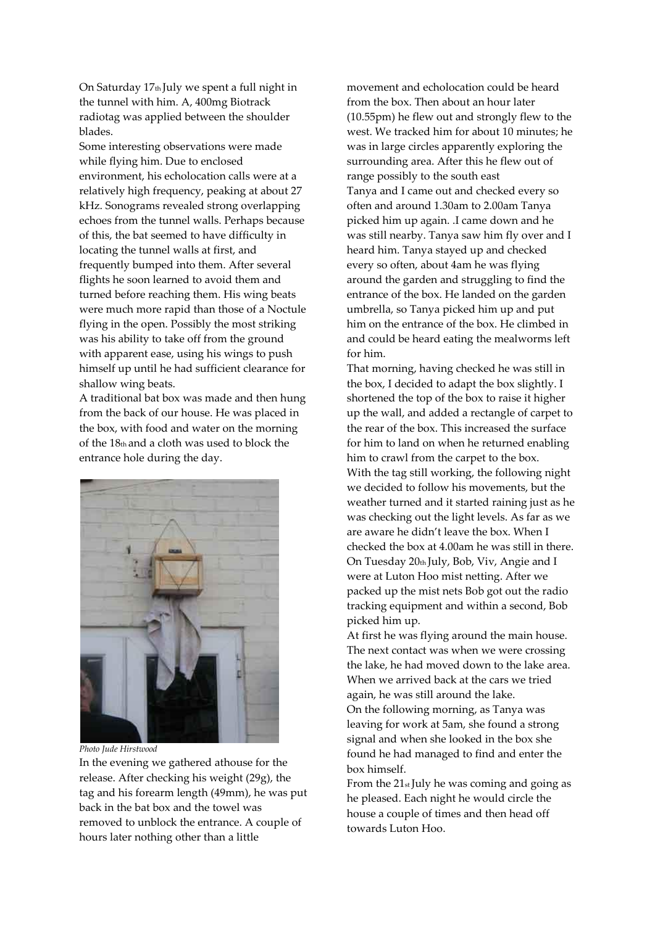On Saturday 17<sup>th</sup> July we spent a full night in the tunnel with him. A, 400mg Biotrack radiotag was applied between the shoulder blades.

Some interesting observations were made while flying him. Due to enclosed environment, his echolocation calls were at a relatively high frequency, peaking at about 27 kHz. Sonograms revealed strong overlapping echoes from the tunnel walls. Perhaps because of this, the bat seemed to have difficulty in locating the tunnel walls at first, and frequently bumped into them. After several flights he soon learned to avoid them and turned before reaching them. His wing beats were much more rapid than those of a Noctule flying in the open. Possibly the most striking was his ability to take off from the ground with apparent ease, using his wings to push himself up until he had sufficient clearance for shallow wing beats.

A traditional bat box was made and then hung from the back of our house. He was placed in the box, with food and water on the morning of the 18th and a cloth was used to block the entrance hole during the day.



*Photo Jude Hirstwood*

In the evening we gathered athouse for the release. After checking his weight (29g), the tag and his forearm length (49mm), he was put back in the bat box and the towel was removed to unblock the entrance. A couple of hours later nothing other than a little

movement and echolocation could be heard from the box. Then about an hour later (10.55pm) he flew out and strongly flew to the west. We tracked him for about 10 minutes; he was in large circles apparently exploring the surrounding area. After this he flew out of range possibly to the south east Tanya and I came out and checked every so often and around 1.30am to 2.00am Tanya picked him up again. .I came down and he was still nearby. Tanya saw him fly over and I heard him. Tanya stayed up and checked every so often, about 4am he was flying around the garden and struggling to find the entrance of the box. He landed on the garden umbrella, so Tanya picked him up and put him on the entrance of the box. He climbed in and could be heard eating the mealworms left for him.

That morning, having checked he was still in the box, I decided to adapt the box slightly. I shortened the top of the box to raise it higher up the wall, and added a rectangle of carpet to the rear of the box. This increased the surface for him to land on when he returned enabling him to crawl from the carpet to the box. With the tag still working, the following night we decided to follow his movements, but the weather turned and it started raining just as he was checking out the light levels. As far as we are aware he didn't leave the box. When I checked the box at 4.00am he was still in there. On Tuesday 20th July, Bob, Viv, Angie and I were at Luton Hoo mist netting. After we packed up the mist nets Bob got out the radio tracking equipment and within a second, Bob picked him up.

At first he was flying around the main house. The next contact was when we were crossing the lake, he had moved down to the lake area. When we arrived back at the cars we tried again, he was still around the lake.

On the following morning, as Tanya was leaving for work at 5am, she found a strong signal and when she looked in the box she found he had managed to find and enter the box himself.

From the 21<sub>st</sub> July he was coming and going as he pleased. Each night he would circle the house a couple of times and then head off towards Luton Hoo.